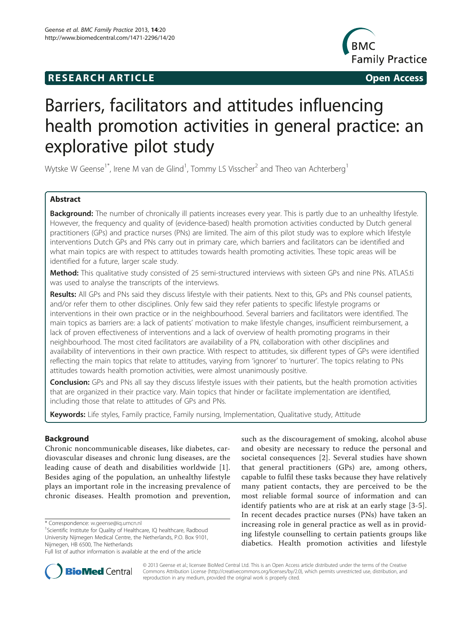## **RESEARCH ARTICLE Example 2018 12:00 Open Access**



# Barriers, facilitators and attitudes influencing health promotion activities in general practice: an explorative pilot study

Wytske W Geense<sup>1\*</sup>, Irene M van de Glind<sup>1</sup>, Tommy LS Visscher<sup>2</sup> and Theo van Achterberg<sup>1</sup>

## Abstract

Background: The number of chronically ill patients increases every year. This is partly due to an unhealthy lifestyle. However, the frequency and quality of (evidence-based) health promotion activities conducted by Dutch general practitioners (GPs) and practice nurses (PNs) are limited. The aim of this pilot study was to explore which lifestyle interventions Dutch GPs and PNs carry out in primary care, which barriers and facilitators can be identified and what main topics are with respect to attitudes towards health promoting activities. These topic areas will be identified for a future, larger scale study.

Method: This qualitative study consisted of 25 semi-structured interviews with sixteen GPs and nine PNs. ATLAS.ti was used to analyse the transcripts of the interviews.

Results: All GPs and PNs said they discuss lifestyle with their patients. Next to this, GPs and PNs counsel patients, and/or refer them to other disciplines. Only few said they refer patients to specific lifestyle programs or interventions in their own practice or in the neighbourhood. Several barriers and facilitators were identified. The main topics as barriers are: a lack of patients' motivation to make lifestyle changes, insufficient reimbursement, a lack of proven effectiveness of interventions and a lack of overview of health promoting programs in their neighbourhood. The most cited facilitators are availability of a PN, collaboration with other disciplines and availability of interventions in their own practice. With respect to attitudes, six different types of GPs were identified reflecting the main topics that relate to attitudes, varying from 'ignorer' to 'nurturer'. The topics relating to PNs attitudes towards health promotion activities, were almost unanimously positive.

Conclusion: GPs and PNs all say they discuss lifestyle issues with their patients, but the health promotion activities that are organized in their practice vary. Main topics that hinder or facilitate implementation are identified, including those that relate to attitudes of GPs and PNs.

Keywords: Life styles, Family practice, Family nursing, Implementation, Qualitative study, Attitude

## Background

Chronic noncommunicable diseases, like diabetes, cardiovascular diseases and chronic lung diseases, are the leading cause of death and disabilities worldwide [[1](#page-9-0)]. Besides aging of the population, an unhealthy lifestyle plays an important role in the increasing prevalence of chronic diseases. Health promotion and prevention,

\* Correspondence: [w.geense@iq.umcn.nl](mailto:w.geense@iq.umcn.nl) <sup>1</sup>

such as the discouragement of smoking, alcohol abuse and obesity are necessary to reduce the personal and societal consequences [[2](#page-9-0)]. Several studies have shown that general practitioners (GPs) are, among others, capable to fulfil these tasks because they have relatively many patient contacts, they are perceived to be the most reliable formal source of information and can identify patients who are at risk at an early stage [[3](#page-9-0)-[5](#page-9-0)]. In recent decades practice nurses (PNs) have taken an increasing role in general practice as well as in providing lifestyle counselling to certain patients groups like diabetics. Health promotion activities and lifestyle



© 2013 Geense et al.; licensee BioMed Central Ltd. This is an Open Access article distributed under the terms of the Creative Commons Attribution License [\(http://creativecommons.org/licenses/by/2.0\)](http://creativecommons.org/licenses/by/2.0), which permits unrestricted use, distribution, and reproduction in any medium, provided the original work is properly cited.

<sup>&</sup>lt;sup>1</sup>Scientific Institute for Quality of Healthcare, IQ healthcare, Radboud University Nijmegen Medical Centre, the Netherlands, P.O. Box 9101, Nijmegen, HB 6500, The Netherlands

Full list of author information is available at the end of the article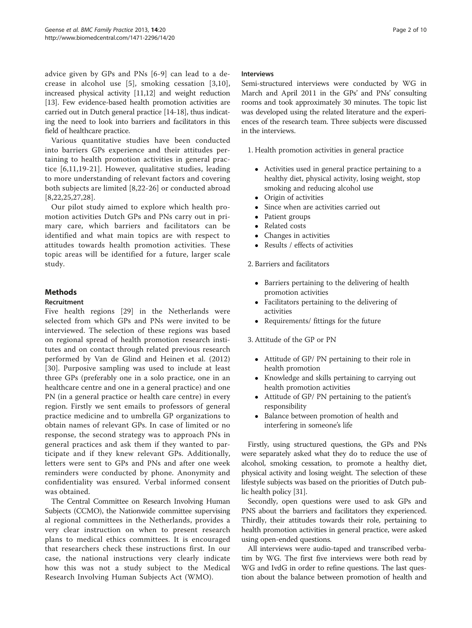advice given by GPs and PNs [[6-9\]](#page-9-0) can lead to a decrease in alcohol use [[5\]](#page-9-0), smoking cessation [\[3,10](#page-9-0)], increased physical activity [\[11,12](#page-9-0)] and weight reduction [[13](#page-9-0)]. Few evidence-based health promotion activities are carried out in Dutch general practice [[14](#page-9-0)-[18](#page-9-0)], thus indicating the need to look into barriers and facilitators in this field of healthcare practice.

Various quantitative studies have been conducted into barriers GPs experience and their attitudes pertaining to health promotion activities in general practice [\[6](#page-9-0),[11,19](#page-9-0)-[21](#page-9-0)]. However, qualitative studies, leading to more understanding of relevant factors and covering both subjects are limited [\[8](#page-9-0),[22-26\]](#page-9-0) or conducted abroad [[8,22](#page-9-0),[25,27](#page-9-0),[28\]](#page-9-0).

Our pilot study aimed to explore which health promotion activities Dutch GPs and PNs carry out in primary care, which barriers and facilitators can be identified and what main topics are with respect to attitudes towards health promotion activities. These topic areas will be identified for a future, larger scale study.

## **Methods**

#### Recruitment

Five health regions [\[29](#page-9-0)] in the Netherlands were selected from which GPs and PNs were invited to be interviewed. The selection of these regions was based on regional spread of health promotion research institutes and on contact through related previous research performed by Van de Glind and Heinen et al. (2012) [[30\]](#page-9-0). Purposive sampling was used to include at least three GPs (preferably one in a solo practice, one in an healthcare centre and one in a general practice) and one PN (in a general practice or health care centre) in every region. Firstly we sent emails to professors of general practice medicine and to umbrella GP organizations to obtain names of relevant GPs. In case of limited or no response, the second strategy was to approach PNs in general practices and ask them if they wanted to participate and if they knew relevant GPs. Additionally, letters were sent to GPs and PNs and after one week reminders were conducted by phone. Anonymity and confidentiality was ensured. Verbal informed consent was obtained.

The Central Committee on Research Involving Human Subjects (CCMO), the Nationwide committee supervising al regional committees in the Netherlands, provides a very clear instruction on when to present research plans to medical ethics committees. It is encouraged that researchers check these instructions first. In our case, the national instructions very clearly indicate how this was not a study subject to the Medical Research Involving Human Subjects Act (WMO).

#### **Interviews**

Semi-structured interviews were conducted by WG in March and April 2011 in the GPs' and PNs' consulting rooms and took approximately 30 minutes. The topic list was developed using the related literature and the experiences of the research team. Three subjects were discussed in the interviews.

1. Health promotion activities in general practice

- Activities used in general practice pertaining to a healthy diet, physical activity, losing weight, stop smoking and reducing alcohol use
- Origin of activities
- Since when are activities carried out
- Patient groups
- Related costs<br>• Changes in a
- Changes in activities
- Results / effects of activities

## 2. Barriers and facilitators

- Barriers pertaining to the delivering of health promotion activities
- Facilitators pertaining to the delivering of activities
- Requirements/ fittings for the future

## 3. Attitude of the GP or PN

- Attitude of GP/ PN pertaining to their role in health promotion
- Knowledge and skills pertaining to carrying out health promotion activities
- Attitude of GP/ PN pertaining to the patient's responsibility
- Balance between promotion of health and interfering in someone's life

Firstly, using structured questions, the GPs and PNs were separately asked what they do to reduce the use of alcohol, smoking cessation, to promote a healthy diet, physical activity and losing weight. The selection of these lifestyle subjects was based on the priorities of Dutch public health policy [\[31\]](#page-9-0).

Secondly, open questions were used to ask GPs and PNS about the barriers and facilitators they experienced. Thirdly, their attitudes towards their role, pertaining to health promotion activities in general practice, were asked using open-ended questions.

All interviews were audio-taped and transcribed verbatim by WG. The first five interviews were both read by WG and IvdG in order to refine questions. The last question about the balance between promotion of health and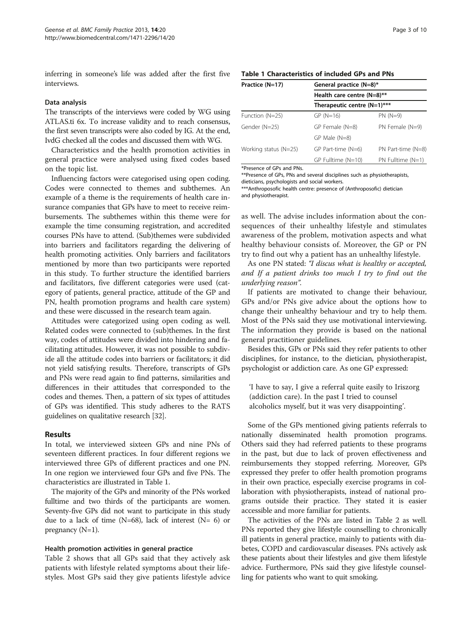inferring in someone's life was added after the first five interviews.

#### Data analysis

The transcripts of the interviews were coded by WG using ATLAS.ti 6x. To increase validity and to reach consensus, the first seven transcripts were also coded by IG. At the end, IvdG checked all the codes and discussed them with WG.

Characteristics and the health promotion activities in general practice were analysed using fixed codes based on the topic list.

Influencing factors were categorised using open coding. Codes were connected to themes and subthemes. An example of a theme is the requirements of health care insurance companies that GPs have to meet to receive reimbursements. The subthemes within this theme were for example the time consuming registration, and accredited courses PNs have to attend. (Sub)themes were subdivided into barriers and facilitators regarding the delivering of health promoting activities. Only barriers and facilitators mentioned by more than two participants were reported in this study. To further structure the identified barriers and facilitators, five different categories were used (category of patients, general practice, attitude of the GP and PN, health promotion programs and health care system) and these were discussed in the research team again.

Attitudes were categorized using open coding as well. Related codes were connected to (sub)themes. In the first way, codes of attitudes were divided into hindering and facilitating attitudes. However, it was not possible to subdivide all the attitude codes into barriers or facilitators; it did not yield satisfying results. Therefore, transcripts of GPs and PNs were read again to find patterns, similarities and differences in their attitudes that corresponded to the codes and themes. Then, a pattern of six types of attitudes of GPs was identified. This study adheres to the RATS guidelines on qualitative research [\[32\]](#page-9-0).

#### Results

In total, we interviewed sixteen GPs and nine PNs of seventeen different practices. In four different regions we interviewed three GPs of different practices and one PN. In one region we interviewed four GPs and five PNs. The characteristics are illustrated in Table 1.

The majority of the GPs and minority of the PNs worked fulltime and two thirds of the participants are women. Seventy-five GPs did not want to participate in this study due to a lack of time  $(N=68)$ , lack of interest  $(N= 6)$  or pregnancy (N=1).

#### Health promotion activities in general practice

Table [2](#page-3-0) shows that all GPs said that they actively ask patients with lifestyle related symptoms about their lifestyles. Most GPs said they give patients lifestyle advice

| Practice (N=17)       | General practice (N=8)*                                         |                        |  |  |
|-----------------------|-----------------------------------------------------------------|------------------------|--|--|
|                       | Health care centre $(N=8)$ **<br>Therapeutic centre $(N=1)$ *** |                        |  |  |
|                       |                                                                 |                        |  |  |
| Function (N=25)       | $GP (N=16)$                                                     | $PN(N=9)$              |  |  |
| Gender (N=25)         | GP Female (N=8)                                                 | $PN$ Female $(N=9)$    |  |  |
|                       | $GP$ Male $(N=8)$                                               |                        |  |  |
| Working status (N=25) | GP Part-time $(N=6)$                                            | $PN$ Part-time $(N=8)$ |  |  |
|                       | $GP$ Fulltime $(N=10)$                                          | $PN$ Fulltime $(N=1)$  |  |  |

\*Presence of GPs and PNs.

\*\*Presence of GPs, PNs and several disciplines such as physiotherapists, dieticians, psychologists and social workers.

\*\*\*Anthroposofic health centre: presence of (Anthroposofic) dietician and physiotherapist.

as well. The advise includes information about the consequences of their unhealthy lifestyle and stimulates awareness of the problem, motivation aspects and what healthy behaviour consists of. Moreover, the GP or PN try to find out why a patient has an unhealthy lifestyle.

As one PN stated: "I discus what is healthy or accepted, and If a patient drinks too much I try to find out the underlying reason".

If patients are motivated to change their behaviour, GPs and/or PNs give advice about the options how to change their unhealthy behaviour and try to help them. Most of the PNs said they use motivational interviewing. The information they provide is based on the national general practitioner guidelines.

Besides this, GPs or PNs said they refer patients to other disciplines, for instance, to the dietician, physiotherapist, psychologist or addiction care. As one GP expressed:

'I have to say, I give a referral quite easily to Iriszorg (addiction care). In the past I tried to counsel alcoholics myself, but it was very disappointing'.

Some of the GPs mentioned giving patients referrals to nationally disseminated health promotion programs. Others said they had referred patients to these programs in the past, but due to lack of proven effectiveness and reimbursements they stopped referring. Moreover, GPs expressed they prefer to offer health promotion programs in their own practice, especially exercise programs in collaboration with physiotherapists, instead of national programs outside their practice. They stated it is easier accessible and more familiar for patients.

The activities of the PNs are listed in Table [2](#page-3-0) as well. PNs reported they give lifestyle counselling to chronically ill patients in general practice, mainly to patients with diabetes, COPD and cardiovascular diseases. PNs actively ask these patients about their lifestyles and give them lifestyle advice. Furthermore, PNs said they give lifestyle counselling for patients who want to quit smoking.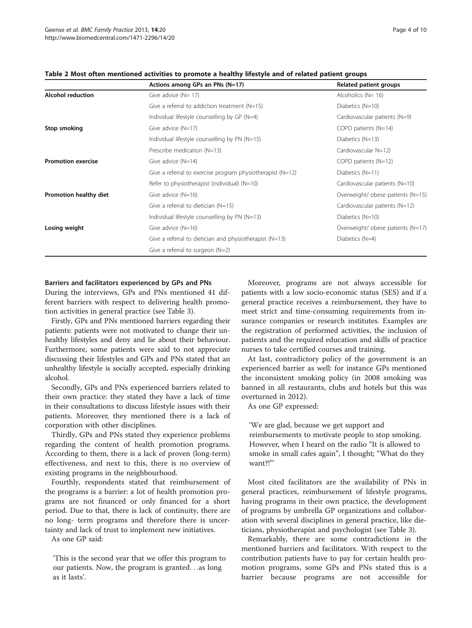|                           | Actions among GPs an PNs (N=17)                              | Related patient groups            |  |
|---------------------------|--------------------------------------------------------------|-----------------------------------|--|
| <b>Alcohol reduction</b>  | Give advice $(N = 17)$                                       | Alcoholics (N= 16)                |  |
|                           | Give a referral to addiction treatment ( $N=15$ )            | Diabetics (N=10)                  |  |
|                           | Individual lifestyle counselling by GP (N=4)                 | Cardiovascular patients (N=9)     |  |
| Stop smoking              | Give advice $(N=17)$                                         | COPD patients $(N=14)$            |  |
|                           | Individual lifestyle counselling by $PN (N=15)$              | Diabetics (N=13)                  |  |
|                           | Prescribe medication (N=13)                                  | Cardiovascular N=12)              |  |
| <b>Promotion exercise</b> | Give advice $(N=14)$                                         | COPD patients $(N=12)$            |  |
|                           | Give a referral to exercise program physiotherapist $(N=12)$ | Diabetics (N=11)                  |  |
|                           | Refer to physiotherapist (individual) ( $N=10$ )             | Cardiovascular patients (N=10)    |  |
| Promotion healthy diet    | Give advice $(N=16)$                                         | Overweight/ obese patients (N=15) |  |
|                           | Give a referral to dietician $(N=15)$                        | Cardiovascular patients (N=12)    |  |
|                           | Individual lifestyle counselling by PN (N=13)                | Diabetics (N=10)                  |  |
| Losing weight             | Give advice $(N=16)$                                         | Overweight/ obese patients (N=17) |  |
|                           | Give a referral to dietician and physiotherapist $(N=13)$    | Diabetics (N=4)                   |  |
|                           | Give a referral to surgeon $(N=2)$                           |                                   |  |

<span id="page-3-0"></span>Table 2 Most often mentioned activities to promote a healthy lifestyle and of related patient groups

#### Barriers and facilitators experienced by GPs and PNs

During the interviews, GPs and PNs mentioned 41 different barriers with respect to delivering health promotion activities in general practice (see Table [3\)](#page-4-0).

Firstly, GPs and PNs mentioned barriers regarding their patients: patients were not motivated to change their unhealthy lifestyles and deny and lie about their behaviour. Furthermore, some patients were said to not appreciate discussing their lifestyles and GPs and PNs stated that an unhealthy lifestyle is socially accepted, especially drinking alcohol.

Secondly, GPs and PNs experienced barriers related to their own practice: they stated they have a lack of time in their consultations to discuss lifestyle issues with their patients. Moreover, they mentioned there is a lack of corporation with other disciplines.

Thirdly, GPs and PNs stated they experience problems regarding the content of health promotion programs. According to them, there is a lack of proven (long-term) effectiveness, and next to this, there is no overview of existing programs in the neighbourhood.

Fourthly, respondents stated that reimbursement of the programs is a barrier: a lot of health promotion programs are not financed or only financed for a short period. Due to that, there is lack of continuity, there are no long- term programs and therefore there is uncertainty and lack of trust to implement new initiatives.

As one GP said:

'This is the second year that we offer this program to our patients. Now, the program is granted...as long as it lasts'.

Moreover, programs are not always accessible for patients with a low socio-economic status (SES) and if a general practice receives a reimbursement, they have to meet strict and time-consuming requirements from insurance companies or research institutes. Examples are the registration of performed activities, the inclusion of patients and the required education and skills of practice nurses to take certified courses and training.

At last, contradictory policy of the government is an experienced barrier as well: for instance GPs mentioned the inconsistent smoking policy (in 2008 smoking was banned in all restaurants, clubs and hotels but this was overturned in 2012).

As one GP expressed:

'We are glad, because we get support and reimbursements to motivate people to stop smoking. However, when I heard on the radio "It is allowed to smoke in small cafes again", I thought; "What do they want?!"'

Most cited facilitators are the availability of PNs in general practices, reimbursement of lifestyle programs, having programs in their own practice, the development of programs by umbrella GP organizations and collaboration with several disciplines in general practice, like dieticians, physiotherapist and psychologist (see Table [3](#page-4-0)).

Remarkably, there are some contradictions in the mentioned barriers and facilitators. With respect to the contribution patients have to pay for certain health promotion programs, some GPs and PNs stated this is a barrier because programs are not accessible for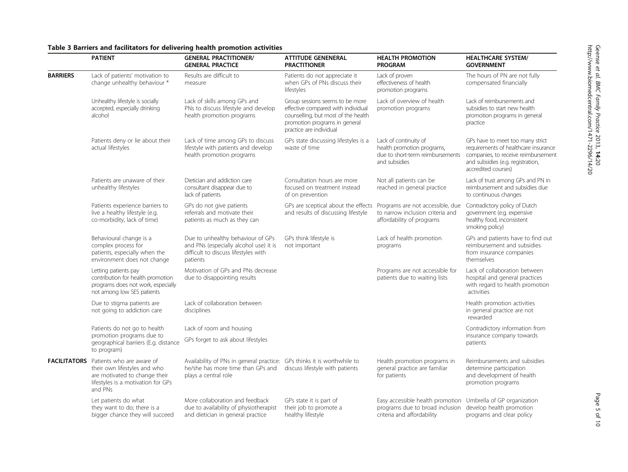<span id="page-4-0"></span>

| Table 3 Barriers and facilitators for delivering health promotion activities |  |  |
|------------------------------------------------------------------------------|--|--|
|------------------------------------------------------------------------------|--|--|

|                     | <b>PATIENT</b>                                                                                                                              | <b>GENERAL PRACTITIONER/</b><br><b>GENERAL PRACTICE</b>                                                                              | <b>ATTITUDE GENENERAL</b><br><b>PRACTITIONER</b>                                                                                                                         | <b>HEALTH PROMOTION</b><br><b>PROGRAM</b>                                                                                     | <b>HEALTHCARE SYSTEM/</b><br><b>GOVERNMENT</b>                                                                                                                              |
|---------------------|---------------------------------------------------------------------------------------------------------------------------------------------|--------------------------------------------------------------------------------------------------------------------------------------|--------------------------------------------------------------------------------------------------------------------------------------------------------------------------|-------------------------------------------------------------------------------------------------------------------------------|-----------------------------------------------------------------------------------------------------------------------------------------------------------------------------|
| <b>BARRIERS</b>     | Lack of patients' motivation to<br>change unhealthy behaviour *                                                                             | Results are difficult to<br>measure                                                                                                  | Patients do not appreciate it<br>when GPs of PNs discuss their<br>lifestyles                                                                                             | Lack of proven<br>effectiveness of health<br>promotion programs                                                               | The hours of PN are not fully<br>compensated financially                                                                                                                    |
|                     | Unhealthy lifestyle is socially<br>accepted, especially drinking<br>alcohol                                                                 | Lack of skills among GPs and<br>PNs to discuss lifestyle and develop<br>health promotion programs                                    | Group sessions seems to be more<br>effective compared with individual<br>counselling, but most of the health<br>promotion programs in general<br>practice are individual | Lack of overview of health<br>promotion programs                                                                              | Lack of reimbursements and<br>subsidies to start new health<br>promotion programs in general<br>practice                                                                    |
|                     | Patients deny or lie about their<br>actual lifestyles                                                                                       | Lack of time among GPs to discuss<br>lifestyle with patients and develop<br>health promotion programs                                | GPs state discussing lifestyles is a<br>waste of time                                                                                                                    | Lack of continuity of<br>health promotion programs,<br>due to short-term reimbursements<br>and subsidies                      | GPs have to meet too many strict<br>requirements of healthcare insurance<br>companies, to receive reimbursement<br>and subsidies (e.g. registration,<br>accredited courses) |
|                     | Patients are unaware of their<br>unhealthy lifestyles                                                                                       | Dietician and addiction care<br>consultant disappear due to<br>lack of patients                                                      | Consultation hours are more<br>focused on treatment instead<br>of on prevention                                                                                          | Not all patients can be<br>reached in general practice                                                                        | Lack of trust among GPs and PN in<br>reimbursement and subsidies due<br>to continuous changes                                                                               |
|                     | Patients experience barriers to<br>live a healthy lifestyle (e.g.<br>co-morbidity, lack of time)                                            | GPs do not give patients<br>referrals and motivate their<br>patients as much as they can                                             | GPs are sceptical about the effects<br>and results of discussing lifestyle                                                                                               | Programs are not accessible, due<br>to narrow inclusion criteria and<br>affordability of programs                             | Contradictory policy of Dutch<br>government (e.g. expensive<br>healthy food, inconsistent<br>smoking policy)                                                                |
|                     | Behavioural change is a<br>complex process for<br>patients, especially when the<br>environment does not change                              | Due to unhealthy behaviour of GPs<br>and PNs (especially alcohol use) it is<br>difficult to discuss lifestyles with<br>patients      | GPs think lifestyle is<br>not important                                                                                                                                  | Lack of health promotion<br>programs                                                                                          | GPs and patients have to find out<br>reimbursement and subsidies<br>from insurance companies<br>themselves                                                                  |
|                     | Letting patients pay<br>contribution for health promotion<br>programs does not work, especially<br>not among low SES patients               | Motivation of GPs and PNs decrease<br>due to disappointing results                                                                   |                                                                                                                                                                          | Programs are not accessible for<br>patients due to waiting lists                                                              | Lack of collaboration between<br>hospital and general practices<br>with regard to health promotion<br>activities                                                            |
|                     | Due to stigma patients are<br>not going to addiction care                                                                                   | Lack of collaboration between<br>disciplines                                                                                         |                                                                                                                                                                          |                                                                                                                               | Health promotion activities<br>in general practice are not<br>rewarded                                                                                                      |
|                     | Patients do not go to health                                                                                                                | Lack of room and housing                                                                                                             |                                                                                                                                                                          |                                                                                                                               | Contradictory information from                                                                                                                                              |
|                     | promotion programs due to<br>geographical barriers (E.g. distance<br>to program)                                                            | GPs forget to ask about lifestyles                                                                                                   |                                                                                                                                                                          |                                                                                                                               | insurance company towards<br>patients                                                                                                                                       |
| <b>FACILITATORS</b> | Patients who are aware of<br>their own lifestyles and who<br>are motivated to change their<br>lifestyles is a motivation for GPs<br>and PNs | Availability of PNs in general practice: GPs thinks it is worthwhile to<br>he/she has more time than GPs and<br>plays a central role | discuss lifestyle with patients                                                                                                                                          | Health promotion programs in<br>general practice are familiar<br>for patients                                                 | Reimbursements and subsidies<br>determine participation<br>and development of health<br>promotion programs                                                                  |
|                     | Let patients do what<br>they want to do; there is a<br>bigger chance they will succeed                                                      | More collaboration and feedback<br>due to availability of physiotherapist<br>and dietician in general practice                       | GPs state it is part of<br>their job to promote a<br>healthy lifestyle                                                                                                   | Easy accessible health promotion Umbrella of GP organization<br>programs due to broad inclusion<br>criteria and affordability | develop health promotion<br>programs and clear policy                                                                                                                       |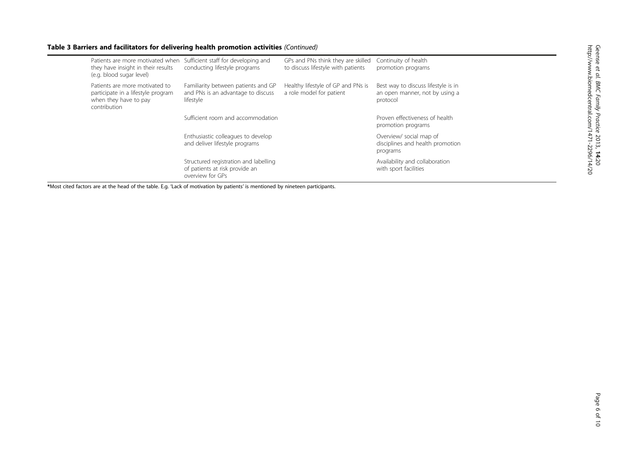## Table 3 Barriers and facilitators for delivering health promotion activities (Continued)

| Patients are more motivated when<br>they have insight in their results<br>(e.g. blood sugar level)            | Sufficient staff for developing and<br>conducting lifestyle programs                        | GPs and PNs think they are skilled<br>to discuss lifestyle with patients | Continuity of health<br>promotion programs                                        |
|---------------------------------------------------------------------------------------------------------------|---------------------------------------------------------------------------------------------|--------------------------------------------------------------------------|-----------------------------------------------------------------------------------|
| Patients are more motivated to<br>participate in a lifestyle program<br>when they have to pay<br>contribution | Familiarity between patients and GP<br>and PNs is an advantage to discuss<br>lifestyle      | Healthy lifestyle of GP and PNs is<br>a role model for patient           | Best way to discuss lifestyle is in<br>an open manner, not by using a<br>protocol |
|                                                                                                               | Sufficient room and accommodation                                                           |                                                                          | Proven effectiveness of health<br>promotion programs                              |
|                                                                                                               | Enthusiastic colleagues to develop<br>and deliver lifestyle programs                        |                                                                          | Overview/ social map of<br>disciplines and health promotion<br>programs           |
|                                                                                                               | Structured registration and labelling<br>of patients at risk provide an<br>overview for GPs |                                                                          | Availability and collaboration<br>with sport facilities                           |

\*Most cited factors are at the head of the table. E.g. 'Lack of motivation by patients' is mentioned by nineteen participants.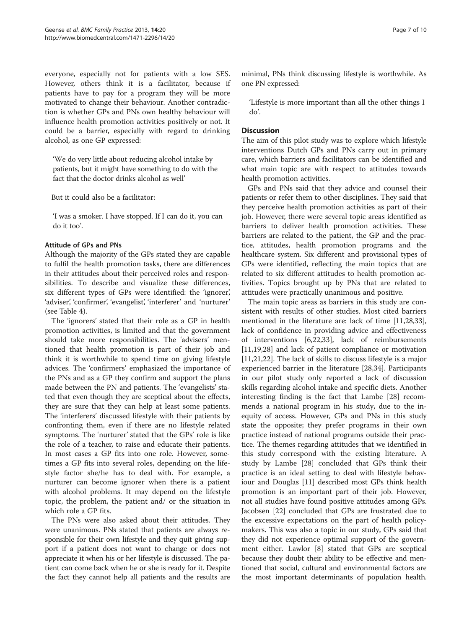everyone, especially not for patients with a low SES. However, others think it is a facilitator, because if patients have to pay for a program they will be more motivated to change their behaviour. Another contradiction is whether GPs and PNs own healthy behaviour will influence health promotion activities positively or not. It could be a barrier, especially with regard to drinking alcohol, as one GP expressed:

'We do very little about reducing alcohol intake by patients, but it might have something to do with the fact that the doctor drinks alcohol as well'

But it could also be a facilitator:

'I was a smoker. I have stopped. If I can do it, you can do it too'.

#### Attitude of GPs and PNs

Although the majority of the GPs stated they are capable to fulfil the health promotion tasks, there are differences in their attitudes about their perceived roles and responsibilities. To describe and visualize these differences, six different types of GPs were identified: the 'ignorer', 'adviser', 'confirmer', 'evangelist', 'interferer' and 'nurturer' (see Table [4\)](#page-7-0).

The 'ignorers' stated that their role as a GP in health promotion activities, is limited and that the government should take more responsibilities. The 'advisers' mentioned that health promotion is part of their job and think it is worthwhile to spend time on giving lifestyle advices. The 'confirmers' emphasized the importance of the PNs and as a GP they confirm and support the plans made between the PN and patients. The 'evangelists' stated that even though they are sceptical about the effects, they are sure that they can help at least some patients. The 'interferers' discussed lifestyle with their patients by confronting them, even if there are no lifestyle related symptoms. The 'nurturer' stated that the GPs' role is like the role of a teacher, to raise and educate their patients. In most cases a GP fits into one role. However, sometimes a GP fits into several roles, depending on the lifestyle factor she/he has to deal with. For example, a nurturer can become ignorer when there is a patient with alcohol problems. It may depend on the lifestyle topic, the problem, the patient and/ or the situation in which role a GP fits.

The PNs were also asked about their attitudes. They were unanimous. PNs stated that patients are always responsible for their own lifestyle and they quit giving support if a patient does not want to change or does not appreciate it when his or her lifestyle is discussed. The patient can come back when he or she is ready for it. Despite the fact they cannot help all patients and the results are minimal, PNs think discussing lifestyle is worthwhile. As one PN expressed:

'Lifestyle is more important than all the other things I do'.

#### **Discussion**

The aim of this pilot study was to explore which lifestyle interventions Dutch GPs and PNs carry out in primary care, which barriers and facilitators can be identified and what main topic are with respect to attitudes towards health promotion activities.

GPs and PNs said that they advice and counsel their patients or refer them to other disciplines. They said that they perceive health promotion activities as part of their job. However, there were several topic areas identified as barriers to deliver health promotion activities. These barriers are related to the patient, the GP and the practice, attitudes, health promotion programs and the healthcare system. Six different and provisional types of GPs were identified, reflecting the main topics that are related to six different attitudes to health promotion activities. Topics brought up by PNs that are related to attitudes were practically unanimous and positive.

The main topic areas as barriers in this study are consistent with results of other studies. Most cited barriers mentioned in the literature are: lack of time [[11,28,33](#page-9-0)], lack of confidence in providing advice and effectiveness of interventions [\[6](#page-9-0),[22,33](#page-9-0)], lack of reimbursements [[11,19,28\]](#page-9-0) and lack of patient compliance or motivation [[11,21,22\]](#page-9-0). The lack of skills to discuss lifestyle is a major experienced barrier in the literature [[28](#page-9-0),[34](#page-9-0)]. Participants in our pilot study only reported a lack of discussion skills regarding alcohol intake and specific diets. Another interesting finding is the fact that Lambe [\[28](#page-9-0)] recommends a national program in his study, due to the inequity of access. However, GPs and PNs in this study state the opposite; they prefer programs in their own practice instead of national programs outside their practice. The themes regarding attitudes that we identified in this study correspond with the existing literature. A study by Lambe [\[28](#page-9-0)] concluded that GPs think their practice is an ideal setting to deal with lifestyle behaviour and Douglas [\[11](#page-9-0)] described most GPs think health promotion is an important part of their job. However, not all studies have found positive attitudes among GPs. Jacobsen [[22](#page-9-0)] concluded that GPs are frustrated due to the excessive expectations on the part of health policymakers. This was also a topic in our study, GPs said that they did not experience optimal support of the government either. Lawlor [\[8](#page-9-0)] stated that GPs are sceptical because they doubt their ability to be effective and mentioned that social, cultural and environmental factors are the most important determinants of population health.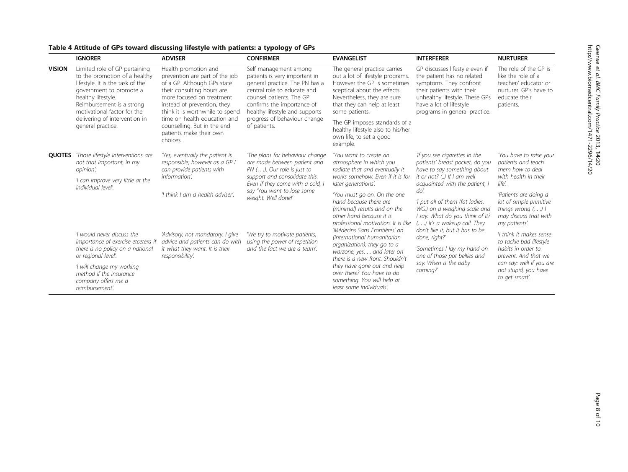|               | <b>IGNORER</b>                                                                                                                                                                                                  | <b>ADVISER</b>                                                                                                                                                                                                     | <b>CONFIRMER</b>                                                                                                                                                                                                    | <b>EVANGELIST</b>                                                                                                                                                                                                                                                                                                                                                                                                                               | <b>INTERFERER</b>                                                                                                                                                                                                                                                                                                      | <b>NURTURER</b>                                                                                                                                                        |
|---------------|-----------------------------------------------------------------------------------------------------------------------------------------------------------------------------------------------------------------|--------------------------------------------------------------------------------------------------------------------------------------------------------------------------------------------------------------------|---------------------------------------------------------------------------------------------------------------------------------------------------------------------------------------------------------------------|-------------------------------------------------------------------------------------------------------------------------------------------------------------------------------------------------------------------------------------------------------------------------------------------------------------------------------------------------------------------------------------------------------------------------------------------------|------------------------------------------------------------------------------------------------------------------------------------------------------------------------------------------------------------------------------------------------------------------------------------------------------------------------|------------------------------------------------------------------------------------------------------------------------------------------------------------------------|
| <b>VISION</b> | Limited role of GP pertaining<br>to the promotion of a healthy<br>lifestyle. It is the task of the<br>government to promote a<br>healthy lifestyle.<br>Reimbursement is a strong<br>motivational factor for the | Health promotion and<br>prevention are part of the job<br>of a GP. Although GPs state<br>their consulting hours are<br>more focused on treatment<br>instead of prevention, they<br>think it is worthwhile to spend | Self management among<br>patients is very important in<br>general practice. The PN has a<br>central role to educate and<br>counsel patients. The GP<br>confirms the importance of<br>healthy lifestyle and supports | The general practice carries<br>out a lot of lifestyle programs.<br>However the GP is sometimes<br>sceptical about the effects.<br>Nevertheless, they are sure<br>that they can help at least<br>some patients.                                                                                                                                                                                                                                 | GP discusses lifestyle even if<br>the patient has no related<br>symptoms. They confront<br>their patients with their<br>unhealthy lifestyle. These GPs<br>have a lot of lifestyle<br>programs in general practice.                                                                                                     | The role of the GP is<br>like the role of a<br>teacher/educator or<br>nurturer. GP's have to<br>educate their<br>patients.                                             |
|               | delivering of intervention in<br>general practice.                                                                                                                                                              | time on health education and<br>counselling. But in the end<br>patients make their own<br>choices.                                                                                                                 | progress of behaviour change<br>of patients.                                                                                                                                                                        | The GP imposes standards of a<br>healthy lifestyle also to his/her<br>own life, to set a good<br>example.                                                                                                                                                                                                                                                                                                                                       |                                                                                                                                                                                                                                                                                                                        |                                                                                                                                                                        |
| <b>QUOTES</b> | 'Those lifestyle interventions are<br>not that important, in my<br>opinion'.                                                                                                                                    | 'Yes, eventually the patient is<br>responsible; however as a GP I<br>can provide patients with                                                                                                                     | 'The plans for behaviour change<br>are made between patient and<br>$PN$ (). Our role is just to                                                                                                                     | 'You want to create an<br>atmosphere in which you<br>radiate that and eventually it                                                                                                                                                                                                                                                                                                                                                             | 'If you see cigarettes in the<br>patients' breast pocket, do you<br>have to say something about<br>it or not? () If I am well<br>acquainted with the patient, I<br>do'.<br>'l put all of them (fat ladies,<br>WG.) on a weighing scale and<br>I say: What do you think of it?<br>$( \ldots )$ It's a wakeup call. They | 'You have to raise your<br>patients and teach<br>them how to deal                                                                                                      |
|               | 'I can improve very little at the<br>individual level'.                                                                                                                                                         | information'.                                                                                                                                                                                                      | support and consolidate this.<br>Even if they come with a cold, I<br>say 'You want to lose some<br>weight. Well done!'                                                                                              | works somehow. Even if it is for<br>later generations'.                                                                                                                                                                                                                                                                                                                                                                                         |                                                                                                                                                                                                                                                                                                                        | with health in their<br>life'.                                                                                                                                         |
|               |                                                                                                                                                                                                                 | 'l think I am a health adviser'.                                                                                                                                                                                   |                                                                                                                                                                                                                     | 'You must go on. On the one<br>hand because there are<br>(minimal) results and on the<br>other hand because it is<br>professional motivation. It is like<br>'Médecins Sans Frontières' an<br>(international humanitarian<br>organization); they go to a<br>warzone, yes and later on<br>there is a new front. Shouldn't<br>they have gone out and help<br>over there? You have to do<br>something. You will help at<br>least some individuals'. |                                                                                                                                                                                                                                                                                                                        | 'Patients are doing a<br>lot of simple primitive<br>things wrong $( \ldots )$ l<br>may discuss that with<br>my patients'.                                              |
|               | 1 would never discuss the<br>importance of exercise etcetera if<br>there is no policy on a national<br>or regional level'.                                                                                      | 'Advisory, not mandatory. I give<br>advice and patients can do with<br>it what they want. It is their<br>responsibility'.                                                                                          | 'We try to motivate patients,<br>using the power of repetition<br>and the fact we are a team'.                                                                                                                      |                                                                                                                                                                                                                                                                                                                                                                                                                                                 | don't like it, but it has to be<br>done, right?'<br>'Sometimes I lay my hand on<br>one of those pot bellies and<br>say: When is the baby<br>coming?'                                                                                                                                                                   | 'I think it makes sense<br>to tackle bad lifestyle<br>habits in order to<br>prevent. And that we<br>can say: well if you are<br>not stupid, you have<br>to get smart'. |
|               | 'l will change my working<br>method if the insurance<br>company offers me a<br>reimbursement'.                                                                                                                  |                                                                                                                                                                                                                    |                                                                                                                                                                                                                     |                                                                                                                                                                                                                                                                                                                                                                                                                                                 |                                                                                                                                                                                                                                                                                                                        |                                                                                                                                                                        |

## <span id="page-7-0"></span>Table 4 Attitude of GPs toward discussing lifestyle with patients: a typology of GPs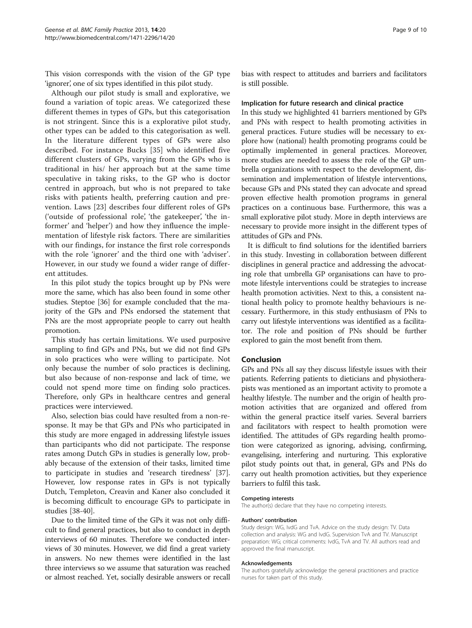This vision corresponds with the vision of the GP type 'ignorer', one of six types identified in this pilot study.

Although our pilot study is small and explorative, we found a variation of topic areas. We categorized these different themes in types of GPs, but this categorisation is not stringent. Since this is a explorative pilot study, other types can be added to this categorisation as well. In the literature different types of GPs were also described. For instance Bucks [[35\]](#page-9-0) who identified five different clusters of GPs, varying from the GPs who is traditional in his/ her approach but at the same time speculative in taking risks, to the GP who is doctor centred in approach, but who is not prepared to take risks with patients health, preferring caution and prevention. Laws [\[23](#page-9-0)] describes four different roles of GPs ('outside of professional role', 'the gatekeeper', 'the informer' and 'helper') and how they influence the implementation of lifestyle risk factors. There are similarities with our findings, for instance the first role corresponds with the role 'ignorer' and the third one with 'adviser'. However, in our study we found a wider range of different attitudes.

In this pilot study the topics brought up by PNs were more the same, which has also been found in some other studies. Steptoe [\[36\]](#page-9-0) for example concluded that the majority of the GPs and PNs endorsed the statement that PNs are the most appropriate people to carry out health promotion.

This study has certain limitations. We used purposive sampling to find GPs and PNs, but we did not find GPs in solo practices who were willing to participate. Not only because the number of solo practices is declining, but also because of non-response and lack of time, we could not spend more time on finding solo practices. Therefore, only GPs in healthcare centres and general practices were interviewed.

Also, selection bias could have resulted from a non-response. It may be that GPs and PNs who participated in this study are more engaged in addressing lifestyle issues than participants who did not participate. The response rates among Dutch GPs in studies is generally low, probably because of the extension of their tasks, limited time to participate in studies and 'research tiredness' [\[37](#page-9-0)]. However, low response rates in GPs is not typically Dutch, Templeton, Creavin and Kaner also concluded it is becoming difficult to encourage GPs to participate in studies [\[38-40](#page-9-0)].

Due to the limited time of the GPs it was not only difficult to find general practices, but also to conduct in depth interviews of 60 minutes. Therefore we conducted interviews of 30 minutes. However, we did find a great variety in answers. No new themes were identified in the last three interviews so we assume that saturation was reached or almost reached. Yet, socially desirable answers or recall

bias with respect to attitudes and barriers and facilitators is still possible.

#### Implication for future research and clinical practice

In this study we highlighted 41 barriers mentioned by GPs and PNs with respect to health promoting activities in general practices. Future studies will be necessary to explore how (national) health promoting programs could be optimally implemented in general practices. Moreover, more studies are needed to assess the role of the GP umbrella organizations with respect to the development, dissemination and implementation of lifestyle interventions, because GPs and PNs stated they can advocate and spread proven effective health promotion programs in general practices on a continuous base. Furthermore, this was a small explorative pilot study. More in depth interviews are necessary to provide more insight in the different types of attitudes of GPs and PNs.

It is difficult to find solutions for the identified barriers in this study. Investing in collaboration between different disciplines in general practice and addressing the advocating role that umbrella GP organisations can have to promote lifestyle interventions could be strategies to increase health promotion activities. Next to this, a consistent national health policy to promote healthy behaviours is necessary. Furthermore, in this study enthusiasm of PNs to carry out lifestyle interventions was identified as a facilitator. The role and position of PNs should be further explored to gain the most benefit from them.

#### Conclusion

GPs and PNs all say they discuss lifestyle issues with their patients. Referring patients to dieticians and physiotherapists was mentioned as an important activity to promote a healthy lifestyle. The number and the origin of health promotion activities that are organized and offered from within the general practice itself varies. Several barriers and facilitators with respect to health promotion were identified. The attitudes of GPs regarding health promotion were categorized as ignoring, advising, confirming, evangelising, interfering and nurturing. This explorative pilot study points out that, in general, GPs and PNs do carry out health promotion activities, but they experience barriers to fulfil this task.

#### Competing interests

The author(s) declare that they have no competing interests.

#### Authors' contribution

Study design: WG, IvdG and TvA. Advice on the study design: TV. Data collection and analysis: WG and IvdG. Supervision TvA and TV. Manuscript preparation: WG; critical comments: IvdG, TvA and TV. All authors read and approved the final manuscript.

#### Acknowledgements

The authors gratefully acknowledge the general practitioners and practice nurses for taken part of this study.